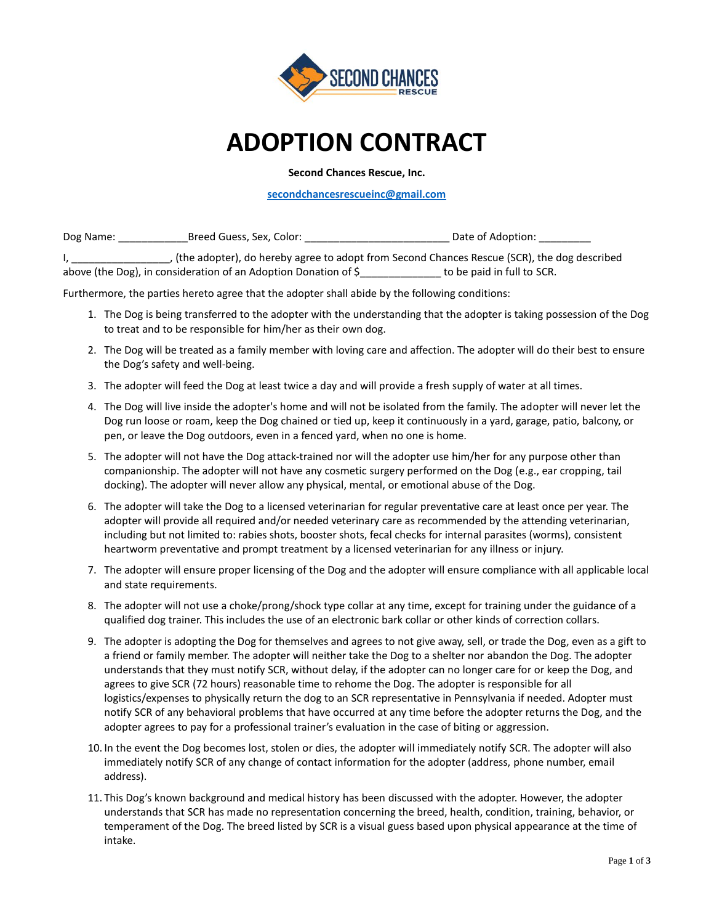

## **ADOPTION CONTRACT**

**Second Chances Rescue, Inc.**

**[secondchancesrescueinc@gmail.com](mailto:secondchancesrescueinc@gmail.com)**

Dog Name: \_\_\_\_\_\_\_\_\_\_\_\_Breed Guess, Sex, Color: \_\_\_\_\_\_\_\_\_\_\_\_\_\_\_\_\_\_\_\_\_\_\_\_\_ Date of Adoption: \_\_\_\_\_\_\_\_\_

, (the adopter), do hereby agree to adopt from Second Chances Rescue (SCR), the dog described above (the Dog), in consideration of an Adoption Donation of \$\_\_\_\_\_\_\_\_\_\_\_\_\_\_ to be paid in full to SCR.

Furthermore, the parties hereto agree that the adopter shall abide by the following conditions:

- 1. The Dog is being transferred to the adopter with the understanding that the adopter is taking possession of the Dog to treat and to be responsible for him/her as their own dog.
- 2. The Dog will be treated as a family member with loving care and affection. The adopter will do their best to ensure the Dog's safety and well-being.
- 3. The adopter will feed the Dog at least twice a day and will provide a fresh supply of water at all times.
- 4. The Dog will live inside the adopter's home and will not be isolated from the family. The adopter will never let the Dog run loose or roam, keep the Dog chained or tied up, keep it continuously in a yard, garage, patio, balcony, or pen, or leave the Dog outdoors, even in a fenced yard, when no one is home.
- 5. The adopter will not have the Dog attack-trained nor will the adopter use him/her for any purpose other than companionship. The adopter will not have any cosmetic surgery performed on the Dog (e.g., ear cropping, tail docking). The adopter will never allow any physical, mental, or emotional abuse of the Dog.
- 6. The adopter will take the Dog to a licensed veterinarian for regular preventative care at least once per year. The adopter will provide all required and/or needed veterinary care as recommended by the attending veterinarian, including but not limited to: rabies shots, booster shots, fecal checks for internal parasites (worms), consistent heartworm preventative and prompt treatment by a licensed veterinarian for any illness or injury.
- 7. The adopter will ensure proper licensing of the Dog and the adopter will ensure compliance with all applicable local and state requirements.
- 8. The adopter will not use a choke/prong/shock type collar at any time, except for training under the guidance of a qualified dog trainer. This includes the use of an electronic bark collar or other kinds of correction collars.
- 9. The adopter is adopting the Dog for themselves and agrees to not give away, sell, or trade the Dog, even as a gift to a friend or family member. The adopter will neither take the Dog to a shelter nor abandon the Dog. The adopter understands that they must notify SCR, without delay, if the adopter can no longer care for or keep the Dog, and agrees to give SCR (72 hours) reasonable time to rehome the Dog. The adopter is responsible for all logistics/expenses to physically return the dog to an SCR representative in Pennsylvania if needed. Adopter must notify SCR of any behavioral problems that have occurred at any time before the adopter returns the Dog, and the adopter agrees to pay for a professional trainer's evaluation in the case of biting or aggression.
- 10. In the event the Dog becomes lost, stolen or dies, the adopter will immediately notify SCR. The adopter will also immediately notify SCR of any change of contact information for the adopter (address, phone number, email address).
- 11. This Dog's known background and medical history has been discussed with the adopter. However, the adopter understands that SCR has made no representation concerning the breed, health, condition, training, behavior, or temperament of the Dog. The breed listed by SCR is a visual guess based upon physical appearance at the time of intake.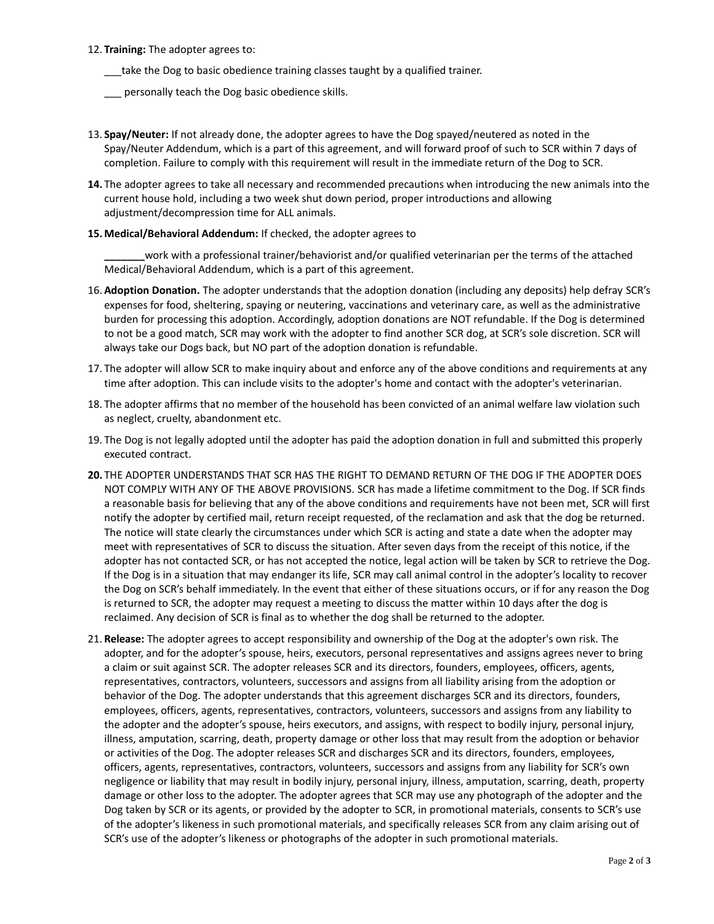- 12. **Training:** The adopter agrees to:
	- \_\_\_take the Dog to basic obedience training classes taught by a qualified trainer.
	- personally teach the Dog basic obedience skills.
- 13. **Spay/Neuter:** If not already done, the adopter agrees to have the Dog spayed/neutered as noted in the Spay/Neuter Addendum, which is a part of this agreement, and will forward proof of such to SCR within 7 days of completion. Failure to comply with this requirement will result in the immediate return of the Dog to SCR.
- **14.** The adopter agrees to take all necessary and recommended precautions when introducing the new animals into the current house hold, including a two week shut down period, proper introductions and allowing adjustment/decompression time for ALL animals.
- **15.Medical/Behavioral Addendum:** If checked, the adopter agrees to

**\_\_\_\_\_\_\_**work with a professional trainer/behaviorist and/or qualified veterinarian per the terms of the attached Medical/Behavioral Addendum, which is a part of this agreement.

- 16. **Adoption Donation.** The adopter understands that the adoption donation (including any deposits) help defray SCR's expenses for food, sheltering, spaying or neutering, vaccinations and veterinary care, as well as the administrative burden for processing this adoption. Accordingly, adoption donations are NOT refundable. If the Dog is determined to not be a good match, SCR may work with the adopter to find another SCR dog, at SCR's sole discretion. SCR will always take our Dogs back, but NO part of the adoption donation is refundable.
- 17. The adopter will allow SCR to make inquiry about and enforce any of the above conditions and requirements at any time after adoption. This can include visits to the adopter's home and contact with the adopter's veterinarian.
- 18. The adopter affirms that no member of the household has been convicted of an animal welfare law violation such as neglect, cruelty, abandonment etc.
- 19. The Dog is not legally adopted until the adopter has paid the adoption donation in full and submitted this properly executed contract.
- **20.** THE ADOPTER UNDERSTANDS THAT SCR HAS THE RIGHT TO DEMAND RETURN OF THE DOG IF THE ADOPTER DOES NOT COMPLY WITH ANY OF THE ABOVE PROVISIONS. SCR has made a lifetime commitment to the Dog. If SCR finds a reasonable basis for believing that any of the above conditions and requirements have not been met, SCR will first notify the adopter by certified mail, return receipt requested, of the reclamation and ask that the dog be returned. The notice will state clearly the circumstances under which SCR is acting and state a date when the adopter may meet with representatives of SCR to discuss the situation. After seven days from the receipt of this notice, if the adopter has not contacted SCR, or has not accepted the notice, legal action will be taken by SCR to retrieve the Dog. If the Dog is in a situation that may endanger its life, SCR may call animal control in the adopter's locality to recover the Dog on SCR's behalf immediately. In the event that either of these situations occurs, or if for any reason the Dog is returned to SCR, the adopter may request a meeting to discuss the matter within 10 days after the dog is reclaimed. Any decision of SCR is final as to whether the dog shall be returned to the adopter.
- 21. **Release:** The adopter agrees to accept responsibility and ownership of the Dog at the adopter's own risk. The adopter, and for the adopter's spouse, heirs, executors, personal representatives and assigns agrees never to bring a claim or suit against SCR. The adopter releases SCR and its directors, founders, employees, officers, agents, representatives, contractors, volunteers, successors and assigns from all liability arising from the adoption or behavior of the Dog. The adopter understands that this agreement discharges SCR and its directors, founders, employees, officers, agents, representatives, contractors, volunteers, successors and assigns from any liability to the adopter and the adopter's spouse, heirs executors, and assigns, with respect to bodily injury, personal injury, illness, amputation, scarring, death, property damage or other loss that may result from the adoption or behavior or activities of the Dog. The adopter releases SCR and discharges SCR and its directors, founders, employees, officers, agents, representatives, contractors, volunteers, successors and assigns from any liability for SCR's own negligence or liability that may result in bodily injury, personal injury, illness, amputation, scarring, death, property damage or other loss to the adopter. The adopter agrees that SCR may use any photograph of the adopter and the Dog taken by SCR or its agents, or provided by the adopter to SCR, in promotional materials, consents to SCR's use of the adopter's likeness in such promotional materials, and specifically releases SCR from any claim arising out of SCR's use of the adopter's likeness or photographs of the adopter in such promotional materials.